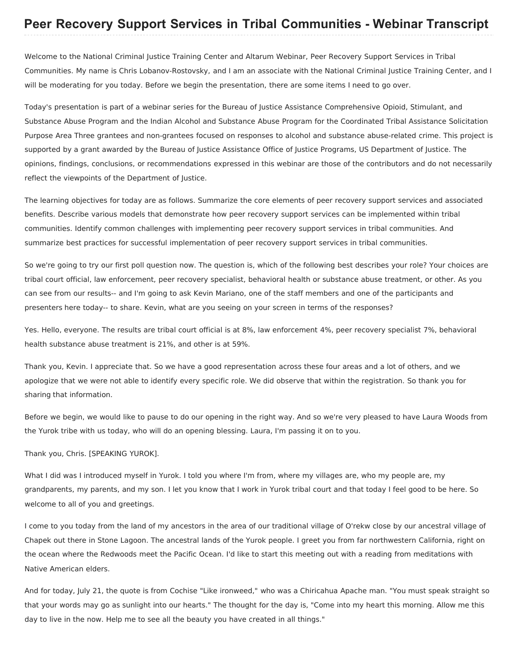## **Peer Recovery Support Services in Tribal Communities - Webinar Transcript**

 Welcome to the National Criminal Justice Training Center and Altarum Webinar, Peer Recovery Support Services in Tribal Communities. My name is Chris Lobanov-Rostovsky, and I am an associate with the National Criminal Justice Training Center, and I will be moderating for you today. Before we begin the presentation, there are some items I need to go over.

 Today's presentation is part of a webinar series for the Bureau of Justice Assistance Comprehensive Opioid, Stimulant, and Substance Abuse Program and the Indian Alcohol and Substance Abuse Program for the Coordinated Tribal Assistance Solicitation Purpose Area Three grantees and non-grantees focused on responses to alcohol and substance abuse-related crime. This project is supported by a grant awarded by the Bureau of Justice Assistance Office of Justice Programs, US Department of Justice. The opinions, findings, conclusions, or recommendations expressed in this webinar are those of the contributors and do not necessarily reflect the viewpoints of the Department of Justice.

 The learning objectives for today are as follows. Summarize the core elements of peer recovery support services and associated benefits. Describe various models that demonstrate how peer recovery support services can be implemented within tribal communities. Identify common challenges with implementing peer recovery support services in tribal communities. And summarize best practices for successful implementation of peer recovery support services in tribal communities.

 So we're going to try our first poll question now. The question is, which of the following best describes your role? Your choices are tribal court official, law enforcement, peer recovery specialist, behavioral health or substance abuse treatment, or other. As you can see from our results-- and I'm going to ask Kevin Mariano, one of the staff members and one of the participants and presenters here today-- to share. Kevin, what are you seeing on your screen in terms of the responses?

 Yes. Hello, everyone. The results are tribal court official is at 8%, law enforcement 4%, peer recovery specialist 7%, behavioral health substance abuse treatment is 21%, and other is at 59%.

 Thank you, Kevin. I appreciate that. So we have a good representation across these four areas and a lot of others, and we apologize that we were not able to identify every specific role. We did observe that within the registration. So thank you for sharing that information.

 Before we begin, we would like to pause to do our opening in the right way. And so we're very pleased to have Laura Woods from the Yurok tribe with us today, who will do an opening blessing. Laura, I'm passing it on to you.

Thank you, Chris. [SPEAKING YUROK].

 What I did was I introduced myself in Yurok. I told you where I'm from, where my villages are, who my people are, my grandparents, my parents, and my son. I let you know that I work in Yurok tribal court and that today I feel good to be here. So welcome to all of you and greetings.

 I come to you today from the land of my ancestors in the area of our traditional village of O'rekw close by our ancestral village of Chapek out there in Stone Lagoon. The ancestral lands of the Yurok people. I greet you from far northwestern California, right on the ocean where the Redwoods meet the Pacific Ocean. I'd like to start this meeting out with a reading from meditations with Native American elders.

 And for today, July 21, the quote is from Cochise "Like ironweed," who was a Chiricahua Apache man. "You must speak straight so that your words may go as sunlight into our hearts." The thought for the day is, "Come into my heart this morning. Allow me this day to live in the now. Help me to see all the beauty you have created in all things."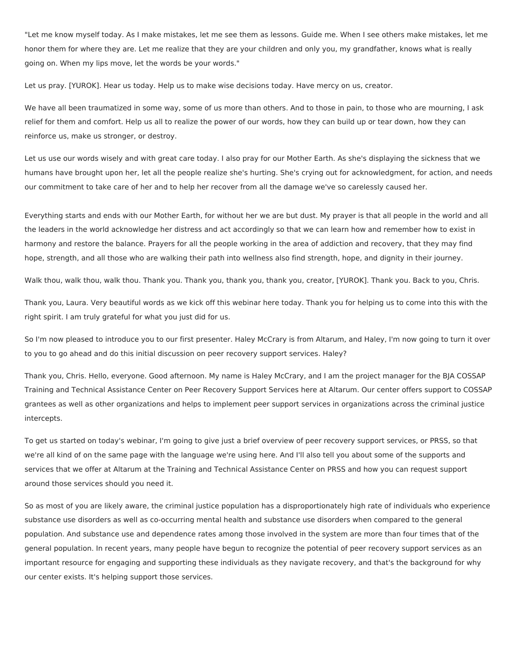"Let me know myself today. As I make mistakes, let me see them as lessons. Guide me. When I see others make mistakes, let me honor them for where they are. Let me realize that they are your children and only you, my grandfather, knows what is really going on. When my lips move, let the words be your words."

Let us pray. [YUROK]. Hear us today. Help us to make wise decisions today. Have mercy on us, creator.

 We have all been traumatized in some way, some of us more than others. And to those in pain, to those who are mourning, I ask relief for them and comfort. Help us all to realize the power of our words, how they can build up or tear down, how they can reinforce us, make us stronger, or destroy.

 Let us use our words wisely and with great care today. I also pray for our Mother Earth. As she's displaying the sickness that we humans have brought upon her, let all the people realize she's hurting. She's crying out for acknowledgment, for action, and needs our commitment to take care of her and to help her recover from all the damage we've so carelessly caused her.

 Everything starts and ends with our Mother Earth, for without her we are but dust. My prayer is that all people in the world and all the leaders in the world acknowledge her distress and act accordingly so that we can learn how and remember how to exist in harmony and restore the balance. Prayers for all the people working in the area of addiction and recovery, that they may find hope, strength, and all those who are walking their path into wellness also find strength, hope, and dignity in their journey.

Walk thou, walk thou, walk thou. Thank you. Thank you, thank you, thank you, creator, [YUROK]. Thank you. Back to you, Chris.

 Thank you, Laura. Very beautiful words as we kick off this webinar here today. Thank you for helping us to come into this with the right spirit. I am truly grateful for what you just did for us.

 So I'm now pleased to introduce you to our first presenter. Haley McCrary is from Altarum, and Haley, I'm now going to turn it over to you to go ahead and do this initial discussion on peer recovery support services. Haley?

 Thank you, Chris. Hello, everyone. Good afternoon. My name is Haley McCrary, and I am the project manager for the BJA COSSAP Training and Technical Assistance Center on Peer Recovery Support Services here at Altarum. Our center offers support to COSSAP grantees as well as other organizations and helps to implement peer support services in organizations across the criminal justice intercepts.

 To get us started on today's webinar, I'm going to give just a brief overview of peer recovery support services, or PRSS, so that we're all kind of on the same page with the language we're using here. And I'll also tell you about some of the supports and services that we offer at Altarum at the Training and Technical Assistance Center on PRSS and how you can request support around those services should you need it.

 So as most of you are likely aware, the criminal justice population has a disproportionately high rate of individuals who experience substance use disorders as well as co-occurring mental health and substance use disorders when compared to the general population. And substance use and dependence rates among those involved in the system are more than four times that of the general population. In recent years, many people have begun to recognize the potential of peer recovery support services as an important resource for engaging and supporting these individuals as they navigate recovery, and that's the background for why our center exists. It's helping support those services.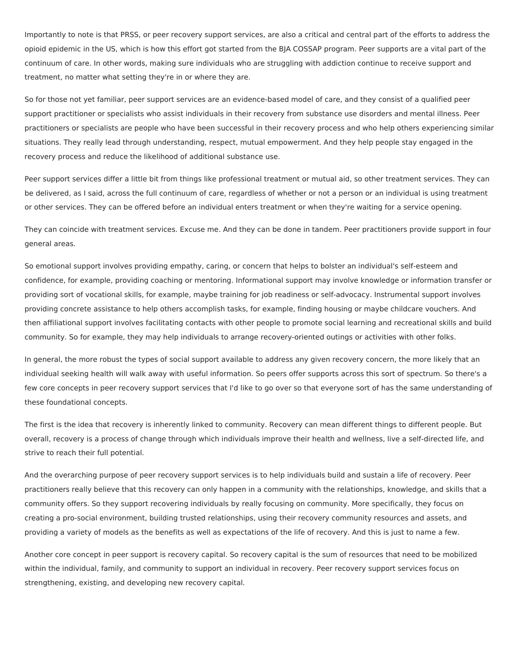Importantly to note is that PRSS, or peer recovery support services, are also a critical and central part of the efforts to address the opioid epidemic in the US, which is how this effort got started from the BJA COSSAP program. Peer supports are a vital part of the continuum of care. In other words, making sure individuals who are struggling with addiction continue to receive support and treatment, no matter what setting they're in or where they are.

 So for those not yet familiar, peer support services are an evidence-based model of care, and they consist of a qualified peer support practitioner or specialists who assist individuals in their recovery from substance use disorders and mental illness. Peer practitioners or specialists are people who have been successful in their recovery process and who help others experiencing similar situations. They really lead through understanding, respect, mutual empowerment. And they help people stay engaged in the recovery process and reduce the likelihood of additional substance use.

 Peer support services differ a little bit from things like professional treatment or mutual aid, so other treatment services. They can be delivered, as I said, across the full continuum of care, regardless of whether or not a person or an individual is using treatment or other services. They can be offered before an individual enters treatment or when they're waiting for a service opening.

 They can coincide with treatment services. Excuse me. And they can be done in tandem. Peer practitioners provide support in four general areas.

 So emotional support involves providing empathy, caring, or concern that helps to bolster an individual's self-esteem and confidence, for example, providing coaching or mentoring. Informational support may involve knowledge or information transfer or providing sort of vocational skills, for example, maybe training for job readiness or self-advocacy. Instrumental support involves providing concrete assistance to help others accomplish tasks, for example, finding housing or maybe childcare vouchers. And then affiliational support involves facilitating contacts with other people to promote social learning and recreational skills and build community. So for example, they may help individuals to arrange recovery-oriented outings or activities with other folks.

 In general, the more robust the types of social support available to address any given recovery concern, the more likely that an individual seeking health will walk away with useful information. So peers offer supports across this sort of spectrum. So there's a few core concepts in peer recovery support services that I'd like to go over so that everyone sort of has the same understanding of these foundational concepts.

 The first is the idea that recovery is inherently linked to community. Recovery can mean different things to different people. But overall, recovery is a process of change through which individuals improve their health and wellness, live a self-directed life, and strive to reach their full potential.

 And the overarching purpose of peer recovery support services is to help individuals build and sustain a life of recovery. Peer practitioners really believe that this recovery can only happen in a community with the relationships, knowledge, and skills that a community offers. So they support recovering individuals by really focusing on community. More specifically, they focus on creating a pro-social environment, building trusted relationships, using their recovery community resources and assets, and providing a variety of models as the benefits as well as expectations of the life of recovery. And this is just to name a few.

 Another core concept in peer support is recovery capital. So recovery capital is the sum of resources that need to be mobilized within the individual, family, and community to support an individual in recovery. Peer recovery support services focus on strengthening, existing, and developing new recovery capital.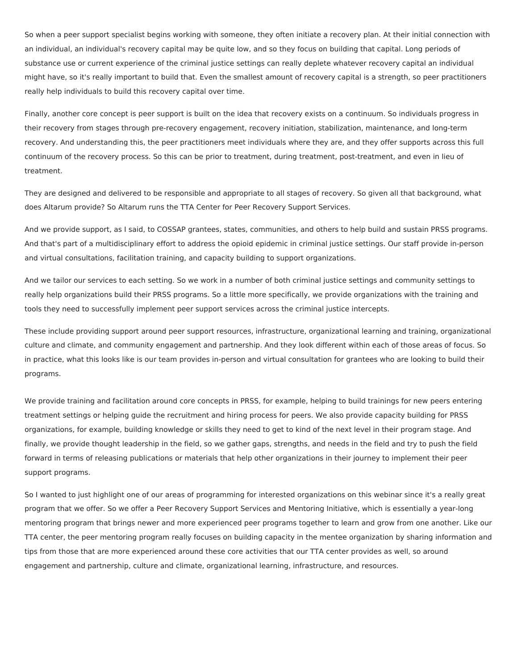So when a peer support specialist begins working with someone, they often initiate a recovery plan. At their initial connection with an individual, an individual's recovery capital may be quite low, and so they focus on building that capital. Long periods of substance use or current experience of the criminal justice settings can really deplete whatever recovery capital an individual might have, so it's really important to build that. Even the smallest amount of recovery capital is a strength, so peer practitioners really help individuals to build this recovery capital over time.

 Finally, another core concept is peer support is built on the idea that recovery exists on a continuum. So individuals progress in their recovery from stages through pre-recovery engagement, recovery initiation, stabilization, maintenance, and long-term recovery. And understanding this, the peer practitioners meet individuals where they are, and they offer supports across this full continuum of the recovery process. So this can be prior to treatment, during treatment, post-treatment, and even in lieu of treatment.

 They are designed and delivered to be responsible and appropriate to all stages of recovery. So given all that background, what does Altarum provide? So Altarum runs the TTA Center for Peer Recovery Support Services.

 And we provide support, as I said, to COSSAP grantees, states, communities, and others to help build and sustain PRSS programs. And that's part of a multidisciplinary effort to address the opioid epidemic in criminal justice settings. Our staff provide in-person and virtual consultations, facilitation training, and capacity building to support organizations.

 And we tailor our services to each setting. So we work in a number of both criminal justice settings and community settings to really help organizations build their PRSS programs. So a little more specifically, we provide organizations with the training and tools they need to successfully implement peer support services across the criminal justice intercepts.

 These include providing support around peer support resources, infrastructure, organizational learning and training, organizational culture and climate, and community engagement and partnership. And they look different within each of those areas of focus. So in practice, what this looks like is our team provides in-person and virtual consultation for grantees who are looking to build their programs.

 We provide training and facilitation around core concepts in PRSS, for example, helping to build trainings for new peers entering treatment settings or helping guide the recruitment and hiring process for peers. We also provide capacity building for PRSS organizations, for example, building knowledge or skills they need to get to kind of the next level in their program stage. And finally, we provide thought leadership in the field, so we gather gaps, strengths, and needs in the field and try to push the field forward in terms of releasing publications or materials that help other organizations in their journey to implement their peer support programs.

 So I wanted to just highlight one of our areas of programming for interested organizations on this webinar since it's a really great program that we offer. So we offer a Peer Recovery Support Services and Mentoring Initiative, which is essentially a year-long mentoring program that brings newer and more experienced peer programs together to learn and grow from one another. Like our TTA center, the peer mentoring program really focuses on building capacity in the mentee organization by sharing information and tips from those that are more experienced around these core activities that our TTA center provides as well, so around engagement and partnership, culture and climate, organizational learning, infrastructure, and resources.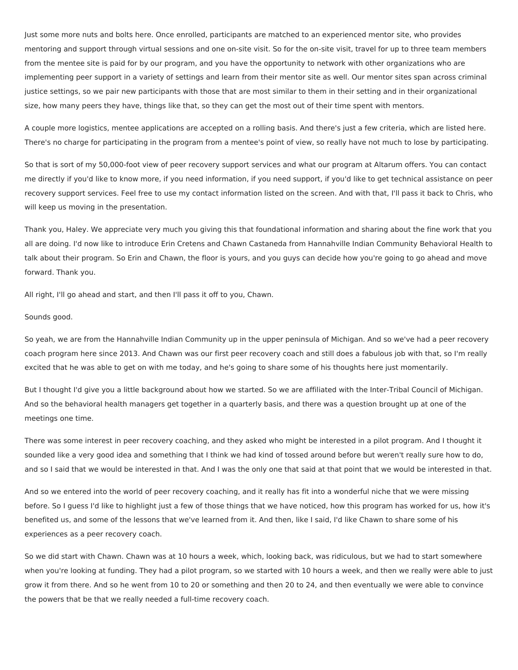Just some more nuts and bolts here. Once enrolled, participants are matched to an experienced mentor site, who provides mentoring and support through virtual sessions and one on-site visit. So for the on-site visit, travel for up to three team members from the mentee site is paid for by our program, and you have the opportunity to network with other organizations who are implementing peer support in a variety of settings and learn from their mentor site as well. Our mentor sites span across criminal justice settings, so we pair new participants with those that are most similar to them in their setting and in their organizational size, how many peers they have, things like that, so they can get the most out of their time spent with mentors.

 A couple more logistics, mentee applications are accepted on a rolling basis. And there's just a few criteria, which are listed here. There's no charge for participating in the program from a mentee's point of view, so really have not much to lose by participating.

 So that is sort of my 50,000-foot view of peer recovery support services and what our program at Altarum offers. You can contact me directly if you'd like to know more, if you need information, if you need support, if you'd like to get technical assistance on peer recovery support services. Feel free to use my contact information listed on the screen. And with that, I'll pass it back to Chris, who will keep us moving in the presentation.

 Thank you, Haley. We appreciate very much you giving this that foundational information and sharing about the fine work that you all are doing. I'd now like to introduce Erin Cretens and Chawn Castaneda from Hannahville Indian Community Behavioral Health to talk about their program. So Erin and Chawn, the floor is yours, and you guys can decide how you're going to go ahead and move forward. Thank you.

All right, I'll go ahead and start, and then I'll pass it off to you, Chawn.

## Sounds good.

 So yeah, we are from the Hannahville Indian Community up in the upper peninsula of Michigan. And so we've had a peer recovery coach program here since 2013. And Chawn was our first peer recovery coach and still does a fabulous job with that, so I'm really excited that he was able to get on with me today, and he's going to share some of his thoughts here just momentarily.

 But I thought I'd give you a little background about how we started. So we are affiliated with the Inter-Tribal Council of Michigan. And so the behavioral health managers get together in a quarterly basis, and there was a question brought up at one of the meetings one time.

 There was some interest in peer recovery coaching, and they asked who might be interested in a pilot program. And I thought it sounded like a very good idea and something that I think we had kind of tossed around before but weren't really sure how to do, and so I said that we would be interested in that. And I was the only one that said at that point that we would be interested in that.

 And so we entered into the world of peer recovery coaching, and it really has fit into a wonderful niche that we were missing before. So I guess I'd like to highlight just a few of those things that we have noticed, how this program has worked for us, how it's benefited us, and some of the lessons that we've learned from it. And then, like I said, I'd like Chawn to share some of his experiences as a peer recovery coach.

 So we did start with Chawn. Chawn was at 10 hours a week, which, looking back, was ridiculous, but we had to start somewhere when you're looking at funding. They had a pilot program, so we started with 10 hours a week, and then we really were able to just grow it from there. And so he went from 10 to 20 or something and then 20 to 24, and then eventually we were able to convince the powers that be that we really needed a full-time recovery coach.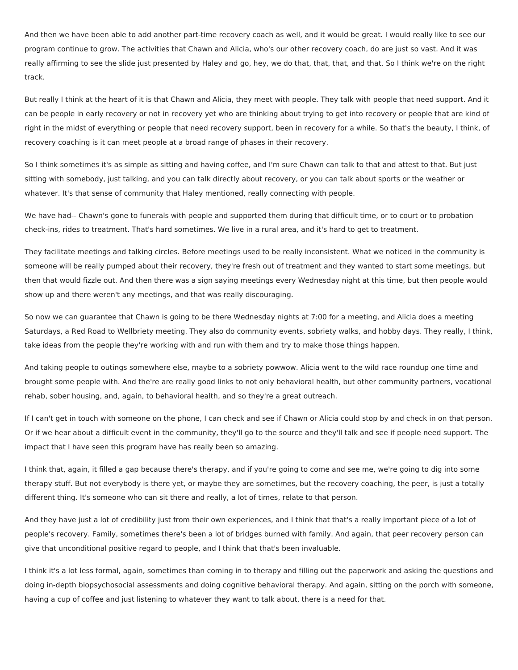And then we have been able to add another part-time recovery coach as well, and it would be great. I would really like to see our program continue to grow. The activities that Chawn and Alicia, who's our other recovery coach, do are just so vast. And it was really affirming to see the slide just presented by Haley and go, hey, we do that, that, that, and that. So I think we're on the right track.

 But really I think at the heart of it is that Chawn and Alicia, they meet with people. They talk with people that need support. And it can be people in early recovery or not in recovery yet who are thinking about trying to get into recovery or people that are kind of right in the midst of everything or people that need recovery support, been in recovery for a while. So that's the beauty, I think, of recovery coaching is it can meet people at a broad range of phases in their recovery.

 So I think sometimes it's as simple as sitting and having coffee, and I'm sure Chawn can talk to that and attest to that. But just sitting with somebody, just talking, and you can talk directly about recovery, or you can talk about sports or the weather or whatever. It's that sense of community that Haley mentioned, really connecting with people.

 We have had-- Chawn's gone to funerals with people and supported them during that difficult time, or to court or to probation check-ins, rides to treatment. That's hard sometimes. We live in a rural area, and it's hard to get to treatment.

 They facilitate meetings and talking circles. Before meetings used to be really inconsistent. What we noticed in the community is someone will be really pumped about their recovery, they're fresh out of treatment and they wanted to start some meetings, but then that would fizzle out. And then there was a sign saying meetings every Wednesday night at this time, but then people would show up and there weren't any meetings, and that was really discouraging.

 So now we can guarantee that Chawn is going to be there Wednesday nights at 7:00 for a meeting, and Alicia does a meeting Saturdays, a Red Road to Wellbriety meeting. They also do community events, sobriety walks, and hobby days. They really, I think, take ideas from the people they're working with and run with them and try to make those things happen.

 And taking people to outings somewhere else, maybe to a sobriety powwow. Alicia went to the wild race roundup one time and brought some people with. And the're are really good links to not only behavioral health, but other community partners, vocational rehab, sober housing, and, again, to behavioral health, and so they're a great outreach.

 If I can't get in touch with someone on the phone, I can check and see if Chawn or Alicia could stop by and check in on that person. Or if we hear about a difficult event in the community, they'll go to the source and they'll talk and see if people need support. The impact that I have seen this program have has really been so amazing.

 I think that, again, it filled a gap because there's therapy, and if you're going to come and see me, we're going to dig into some therapy stuff. But not everybody is there yet, or maybe they are sometimes, but the recovery coaching, the peer, is just a totally different thing. It's someone who can sit there and really, a lot of times, relate to that person.

 And they have just a lot of credibility just from their own experiences, and I think that that's a really important piece of a lot of people's recovery. Family, sometimes there's been a lot of bridges burned with family. And again, that peer recovery person can give that unconditional positive regard to people, and I think that that's been invaluable.

 I think it's a lot less formal, again, sometimes than coming in to therapy and filling out the paperwork and asking the questions and doing in-depth biopsychosocial assessments and doing cognitive behavioral therapy. And again, sitting on the porch with someone, having a cup of coffee and just listening to whatever they want to talk about, there is a need for that.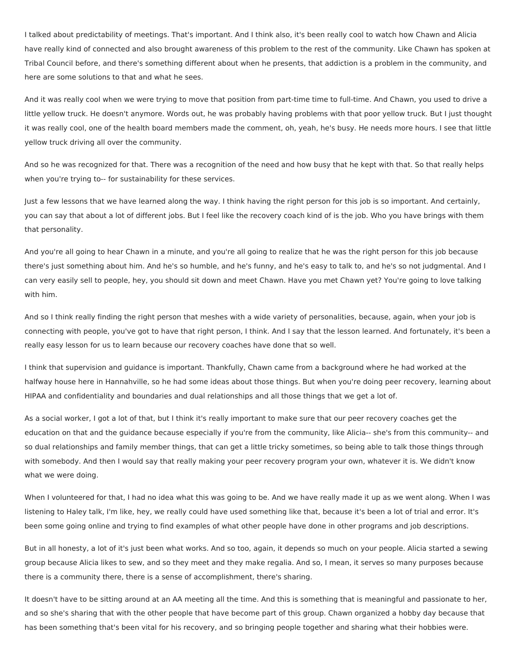I talked about predictability of meetings. That's important. And I think also, it's been really cool to watch how Chawn and Alicia have really kind of connected and also brought awareness of this problem to the rest of the community. Like Chawn has spoken at Tribal Council before, and there's something different about when he presents, that addiction is a problem in the community, and here are some solutions to that and what he sees.

 And it was really cool when we were trying to move that position from part-time time to full-time. And Chawn, you used to drive a little yellow truck. He doesn't anymore. Words out, he was probably having problems with that poor yellow truck. But I just thought it was really cool, one of the health board members made the comment, oh, yeah, he's busy. He needs more hours. I see that little yellow truck driving all over the community.

 And so he was recognized for that. There was a recognition of the need and how busy that he kept with that. So that really helps when you're trying to-- for sustainability for these services.

 Just a few lessons that we have learned along the way. I think having the right person for this job is so important. And certainly, you can say that about a lot of different jobs. But I feel like the recovery coach kind of is the job. Who you have brings with them that personality.

 And you're all going to hear Chawn in a minute, and you're all going to realize that he was the right person for this job because there's just something about him. And he's so humble, and he's funny, and he's easy to talk to, and he's so not judgmental. And I can very easily sell to people, hey, you should sit down and meet Chawn. Have you met Chawn yet? You're going to love talking with him.

 And so I think really finding the right person that meshes with a wide variety of personalities, because, again, when your job is connecting with people, you've got to have that right person, I think. And I say that the lesson learned. And fortunately, it's been a really easy lesson for us to learn because our recovery coaches have done that so well.

 I think that supervision and guidance is important. Thankfully, Chawn came from a background where he had worked at the halfway house here in Hannahville, so he had some ideas about those things. But when you're doing peer recovery, learning about HIPAA and confidentiality and boundaries and dual relationships and all those things that we get a lot of.

 As a social worker, I got a lot of that, but I think it's really important to make sure that our peer recovery coaches get the education on that and the guidance because especially if you're from the community, like Alicia-- she's from this community-- and so dual relationships and family member things, that can get a little tricky sometimes, so being able to talk those things through with somebody. And then I would say that really making your peer recovery program your own, whatever it is. We didn't know what we were doing.

 When I volunteered for that, I had no idea what this was going to be. And we have really made it up as we went along. When I was listening to Haley talk, I'm like, hey, we really could have used something like that, because it's been a lot of trial and error. It's been some going online and trying to find examples of what other people have done in other programs and job descriptions.

 But in all honesty, a lot of it's just been what works. And so too, again, it depends so much on your people. Alicia started a sewing group because Alicia likes to sew, and so they meet and they make regalia. And so, I mean, it serves so many purposes because there is a community there, there is a sense of accomplishment, there's sharing.

 It doesn't have to be sitting around at an AA meeting all the time. And this is something that is meaningful and passionate to her, and so she's sharing that with the other people that have become part of this group. Chawn organized a hobby day because that has been something that's been vital for his recovery, and so bringing people together and sharing what their hobbies were.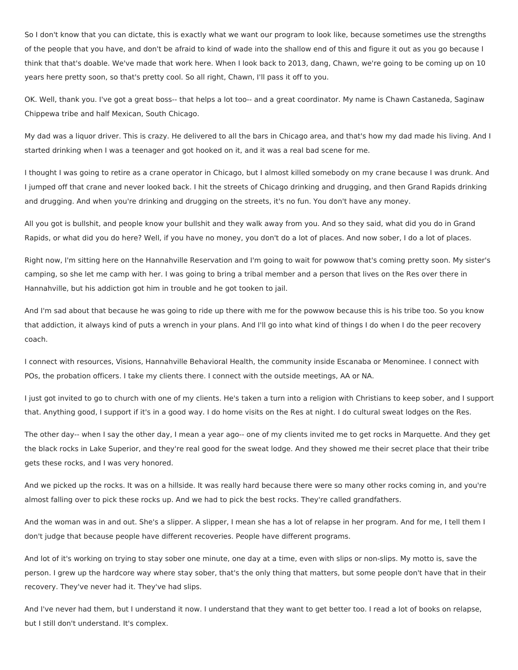So I don't know that you can dictate, this is exactly what we want our program to look like, because sometimes use the strengths of the people that you have, and don't be afraid to kind of wade into the shallow end of this and figure it out as you go because I think that that's doable. We've made that work here. When I look back to 2013, dang, Chawn, we're going to be coming up on 10 years here pretty soon, so that's pretty cool. So all right, Chawn, I'll pass it off to you.

 OK. Well, thank you. I've got a great boss-- that helps a lot too-- and a great coordinator. My name is Chawn Castaneda, Saginaw Chippewa tribe and half Mexican, South Chicago.

 My dad was a liquor driver. This is crazy. He delivered to all the bars in Chicago area, and that's how my dad made his living. And I started drinking when I was a teenager and got hooked on it, and it was a real bad scene for me.

 I thought I was going to retire as a crane operator in Chicago, but I almost killed somebody on my crane because I was drunk. And I jumped off that crane and never looked back. I hit the streets of Chicago drinking and drugging, and then Grand Rapids drinking and drugging. And when you're drinking and drugging on the streets, it's no fun. You don't have any money.

 All you got is bullshit, and people know your bullshit and they walk away from you. And so they said, what did you do in Grand Rapids, or what did you do here? Well, if you have no money, you don't do a lot of places. And now sober, I do a lot of places.

 Right now, I'm sitting here on the Hannahville Reservation and I'm going to wait for powwow that's coming pretty soon. My sister's camping, so she let me camp with her. I was going to bring a tribal member and a person that lives on the Res over there in Hannahville, but his addiction got him in trouble and he got tooken to jail.

 And I'm sad about that because he was going to ride up there with me for the powwow because this is his tribe too. So you know that addiction, it always kind of puts a wrench in your plans. And I'll go into what kind of things I do when I do the peer recovery coach.

 I connect with resources, Visions, Hannahville Behavioral Health, the community inside Escanaba or Menominee. I connect with POs, the probation officers. I take my clients there. I connect with the outside meetings, AA or NA.

 I just got invited to go to church with one of my clients. He's taken a turn into a religion with Christians to keep sober, and I support that. Anything good, I support if it's in a good way. I do home visits on the Res at night. I do cultural sweat lodges on the Res.

 The other day-- when I say the other day, I mean a year ago-- one of my clients invited me to get rocks in Marquette. And they get the black rocks in Lake Superior, and they're real good for the sweat lodge. And they showed me their secret place that their tribe gets these rocks, and I was very honored.

 And we picked up the rocks. It was on a hillside. It was really hard because there were so many other rocks coming in, and you're almost falling over to pick these rocks up. And we had to pick the best rocks. They're called grandfathers.

 And the woman was in and out. She's a slipper. A slipper, I mean she has a lot of relapse in her program. And for me, I tell them I don't judge that because people have different recoveries. People have different programs.

 And lot of it's working on trying to stay sober one minute, one day at a time, even with slips or non-slips. My motto is, save the person. I grew up the hardcore way where stay sober, that's the only thing that matters, but some people don't have that in their recovery. They've never had it. They've had slips.

 And I've never had them, but I understand it now. I understand that they want to get better too. I read a lot of books on relapse, but I still don't understand. It's complex.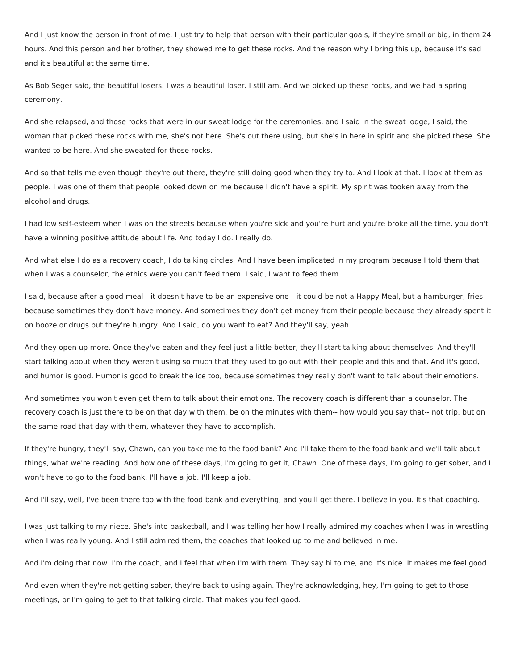And I just know the person in front of me. I just try to help that person with their particular goals, if they're small or big, in them 24 hours. And this person and her brother, they showed me to get these rocks. And the reason why I bring this up, because it's sad and it's beautiful at the same time.

 As Bob Seger said, the beautiful losers. I was a beautiful loser. I still am. And we picked up these rocks, and we had a spring ceremony.

 And she relapsed, and those rocks that were in our sweat lodge for the ceremonies, and I said in the sweat lodge, I said, the woman that picked these rocks with me, she's not here. She's out there using, but she's in here in spirit and she picked these. She wanted to be here. And she sweated for those rocks.

 And so that tells me even though they're out there, they're still doing good when they try to. And I look at that. I look at them as people. I was one of them that people looked down on me because I didn't have a spirit. My spirit was tooken away from the alcohol and drugs.

 I had low self-esteem when I was on the streets because when you're sick and you're hurt and you're broke all the time, you don't have a winning positive attitude about life. And today I do. I really do.

 And what else I do as a recovery coach, I do talking circles. And I have been implicated in my program because I told them that when I was a counselor, the ethics were you can't feed them. I said, I want to feed them.

 I said, because after a good meal-- it doesn't have to be an expensive one-- it could be not a Happy Meal, but a hamburger, fries-- because sometimes they don't have money. And sometimes they don't get money from their people because they already spent it on booze or drugs but they're hungry. And I said, do you want to eat? And they'll say, yeah.

 And they open up more. Once they've eaten and they feel just a little better, they'll start talking about themselves. And they'll start talking about when they weren't using so much that they used to go out with their people and this and that. And it's good, and humor is good. Humor is good to break the ice too, because sometimes they really don't want to talk about their emotions.

 And sometimes you won't even get them to talk about their emotions. The recovery coach is different than a counselor. The recovery coach is just there to be on that day with them, be on the minutes with them-- how would you say that-- not trip, but on the same road that day with them, whatever they have to accomplish.

 If they're hungry, they'll say, Chawn, can you take me to the food bank? And I'll take them to the food bank and we'll talk about things, what we're reading. And how one of these days, I'm going to get it, Chawn. One of these days, I'm going to get sober, and I won't have to go to the food bank. I'll have a job. I'll keep a job.

And I'll say, well, I've been there too with the food bank and everything, and you'll get there. I believe in you. It's that coaching.

 I was just talking to my niece. She's into basketball, and I was telling her how I really admired my coaches when I was in wrestling when I was really young. And I still admired them, the coaches that looked up to me and believed in me.

And I'm doing that now. I'm the coach, and I feel that when I'm with them. They say hi to me, and it's nice. It makes me feel good.

 And even when they're not getting sober, they're back to using again. They're acknowledging, hey, I'm going to get to those meetings, or I'm going to get to that talking circle. That makes you feel good.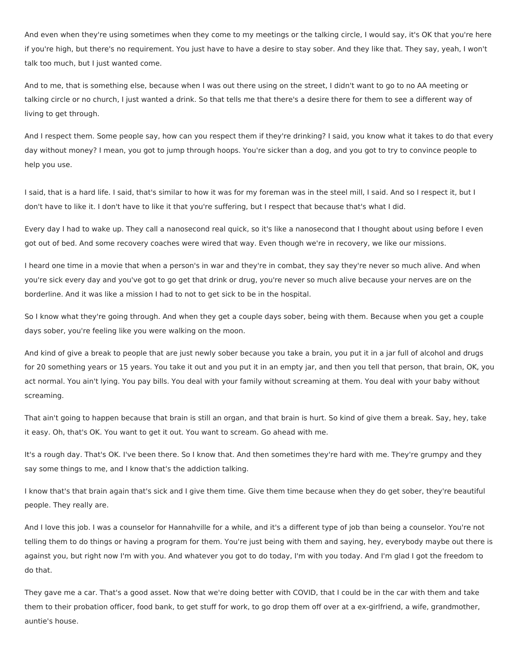And even when they're using sometimes when they come to my meetings or the talking circle, I would say, it's OK that you're here if you're high, but there's no requirement. You just have to have a desire to stay sober. And they like that. They say, yeah, I won't talk too much, but I just wanted come.

 And to me, that is something else, because when I was out there using on the street, I didn't want to go to no AA meeting or talking circle or no church, I just wanted a drink. So that tells me that there's a desire there for them to see a different way of living to get through.

 And I respect them. Some people say, how can you respect them if they're drinking? I said, you know what it takes to do that every day without money? I mean, you got to jump through hoops. You're sicker than a dog, and you got to try to convince people to help you use.

 I said, that is a hard life. I said, that's similar to how it was for my foreman was in the steel mill, I said. And so I respect it, but I don't have to like it. I don't have to like it that you're suffering, but I respect that because that's what I did.

 Every day I had to wake up. They call a nanosecond real quick, so it's like a nanosecond that I thought about using before I even got out of bed. And some recovery coaches were wired that way. Even though we're in recovery, we like our missions.

 I heard one time in a movie that when a person's in war and they're in combat, they say they're never so much alive. And when you're sick every day and you've got to go get that drink or drug, you're never so much alive because your nerves are on the borderline. And it was like a mission I had to not to get sick to be in the hospital.

 So I know what they're going through. And when they get a couple days sober, being with them. Because when you get a couple days sober, you're feeling like you were walking on the moon.

 And kind of give a break to people that are just newly sober because you take a brain, you put it in a jar full of alcohol and drugs for 20 something years or 15 years. You take it out and you put it in an empty jar, and then you tell that person, that brain, OK, you act normal. You ain't lying. You pay bills. You deal with your family without screaming at them. You deal with your baby without screaming.

 That ain't going to happen because that brain is still an organ, and that brain is hurt. So kind of give them a break. Say, hey, take it easy. Oh, that's OK. You want to get it out. You want to scream. Go ahead with me.

 It's a rough day. That's OK. I've been there. So I know that. And then sometimes they're hard with me. They're grumpy and they say some things to me, and I know that's the addiction talking.

 I know that's that brain again that's sick and I give them time. Give them time because when they do get sober, they're beautiful people. They really are.

 And I love this job. I was a counselor for Hannahville for a while, and it's a different type of job than being a counselor. You're not telling them to do things or having a program for them. You're just being with them and saying, hey, everybody maybe out there is against you, but right now I'm with you. And whatever you got to do today, I'm with you today. And I'm glad I got the freedom to do that.

 They gave me a car. That's a good asset. Now that we're doing better with COVID, that I could be in the car with them and take them to their probation officer, food bank, to get stuff for work, to go drop them off over at a ex-girlfriend, a wife, grandmother, auntie's house.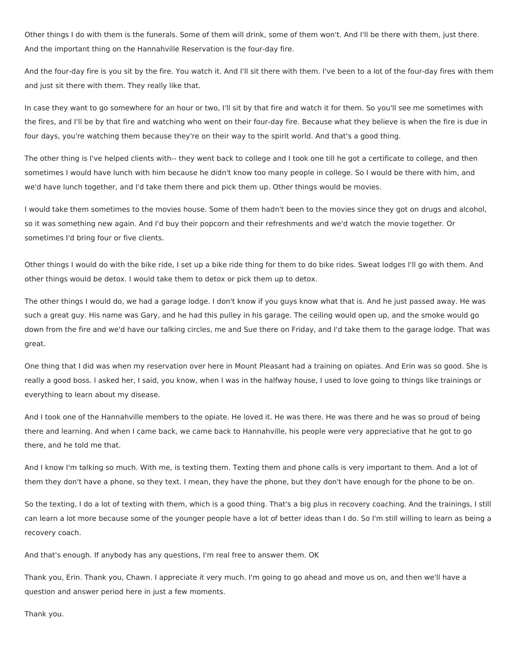Other things I do with them is the funerals. Some of them will drink, some of them won't. And I'll be there with them, just there. And the important thing on the Hannahville Reservation is the four-day fire.

 And the four-day fire is you sit by the fire. You watch it. And I'll sit there with them. I've been to a lot of the four-day fires with them and just sit there with them. They really like that.

 In case they want to go somewhere for an hour or two, I'll sit by that fire and watch it for them. So you'll see me sometimes with the fires, and I'll be by that fire and watching who went on their four-day fire. Because what they believe is when the fire is due in four days, you're watching them because they're on their way to the spirit world. And that's a good thing.

 The other thing is I've helped clients with-- they went back to college and I took one till he got a certificate to college, and then sometimes I would have lunch with him because he didn't know too many people in college. So I would be there with him, and we'd have lunch together, and I'd take them there and pick them up. Other things would be movies.

 I would take them sometimes to the movies house. Some of them hadn't been to the movies since they got on drugs and alcohol, so it was something new again. And I'd buy their popcorn and their refreshments and we'd watch the movie together. Or sometimes I'd bring four or five clients.

 Other things I would do with the bike ride, I set up a bike ride thing for them to do bike rides. Sweat lodges I'll go with them. And other things would be detox. I would take them to detox or pick them up to detox.

 The other things I would do, we had a garage lodge. I don't know if you guys know what that is. And he just passed away. He was such a great guy. His name was Gary, and he had this pulley in his garage. The ceiling would open up, and the smoke would go down from the fire and we'd have our talking circles, me and Sue there on Friday, and I'd take them to the garage lodge. That was great.

 One thing that I did was when my reservation over here in Mount Pleasant had a training on opiates. And Erin was so good. She is really a good boss. I asked her, I said, you know, when I was in the halfway house, I used to love going to things like trainings or everything to learn about my disease.

 And I took one of the Hannahville members to the opiate. He loved it. He was there. He was there and he was so proud of being there and learning. And when I came back, we came back to Hannahville, his people were very appreciative that he got to go there, and he told me that.

 And I know I'm talking so much. With me, is texting them. Texting them and phone calls is very important to them. And a lot of them they don't have a phone, so they text. I mean, they have the phone, but they don't have enough for the phone to be on.

 So the texting, I do a lot of texting with them, which is a good thing. That's a big plus in recovery coaching. And the trainings, I still can learn a lot more because some of the younger people have a lot of better ideas than I do. So I'm still willing to learn as being a recovery coach.

And that's enough. If anybody has any questions, I'm real free to answer them. OK

 Thank you, Erin. Thank you, Chawn. I appreciate it very much. I'm going to go ahead and move us on, and then we'll have a question and answer period here in just a few moments.

Thank you.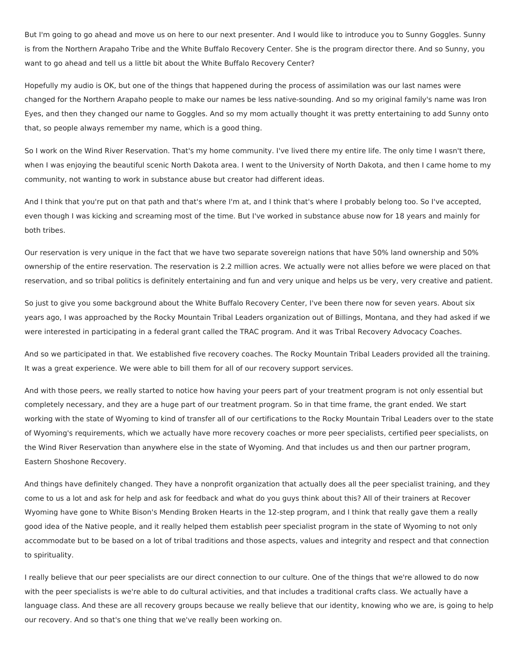But I'm going to go ahead and move us on here to our next presenter. And I would like to introduce you to Sunny Goggles. Sunny is from the Northern Arapaho Tribe and the White Buffalo Recovery Center. She is the program director there. And so Sunny, you want to go ahead and tell us a little bit about the White Buffalo Recovery Center?

 Hopefully my audio is OK, but one of the things that happened during the process of assimilation was our last names were changed for the Northern Arapaho people to make our names be less native-sounding. And so my original family's name was Iron Eyes, and then they changed our name to Goggles. And so my mom actually thought it was pretty entertaining to add Sunny onto that, so people always remember my name, which is a good thing.

 So I work on the Wind River Reservation. That's my home community. I've lived there my entire life. The only time I wasn't there, when I was enjoying the beautiful scenic North Dakota area. I went to the University of North Dakota, and then I came home to my community, not wanting to work in substance abuse but creator had different ideas.

 And I think that you're put on that path and that's where I'm at, and I think that's where I probably belong too. So I've accepted, even though I was kicking and screaming most of the time. But I've worked in substance abuse now for 18 years and mainly for both tribes.

 Our reservation is very unique in the fact that we have two separate sovereign nations that have 50% land ownership and 50% ownership of the entire reservation. The reservation is 2.2 million acres. We actually were not allies before we were placed on that reservation, and so tribal politics is definitely entertaining and fun and very unique and helps us be very, very creative and patient.

 So just to give you some background about the White Buffalo Recovery Center, I've been there now for seven years. About six years ago, I was approached by the Rocky Mountain Tribal Leaders organization out of Billings, Montana, and they had asked if we were interested in participating in a federal grant called the TRAC program. And it was Tribal Recovery Advocacy Coaches.

 And so we participated in that. We established five recovery coaches. The Rocky Mountain Tribal Leaders provided all the training. It was a great experience. We were able to bill them for all of our recovery support services.

 And with those peers, we really started to notice how having your peers part of your treatment program is not only essential but completely necessary, and they are a huge part of our treatment program. So in that time frame, the grant ended. We start working with the state of Wyoming to kind of transfer all of our certifications to the Rocky Mountain Tribal Leaders over to the state of Wyoming's requirements, which we actually have more recovery coaches or more peer specialists, certified peer specialists, on the Wind River Reservation than anywhere else in the state of Wyoming. And that includes us and then our partner program, Eastern Shoshone Recovery.

 And things have definitely changed. They have a nonprofit organization that actually does all the peer specialist training, and they come to us a lot and ask for help and ask for feedback and what do you guys think about this? All of their trainers at Recover Wyoming have gone to White Bison's Mending Broken Hearts in the 12-step program, and I think that really gave them a really good idea of the Native people, and it really helped them establish peer specialist program in the state of Wyoming to not only accommodate but to be based on a lot of tribal traditions and those aspects, values and integrity and respect and that connection to spirituality.

 I really believe that our peer specialists are our direct connection to our culture. One of the things that we're allowed to do now with the peer specialists is we're able to do cultural activities, and that includes a traditional crafts class. We actually have a language class. And these are all recovery groups because we really believe that our identity, knowing who we are, is going to help our recovery. And so that's one thing that we've really been working on.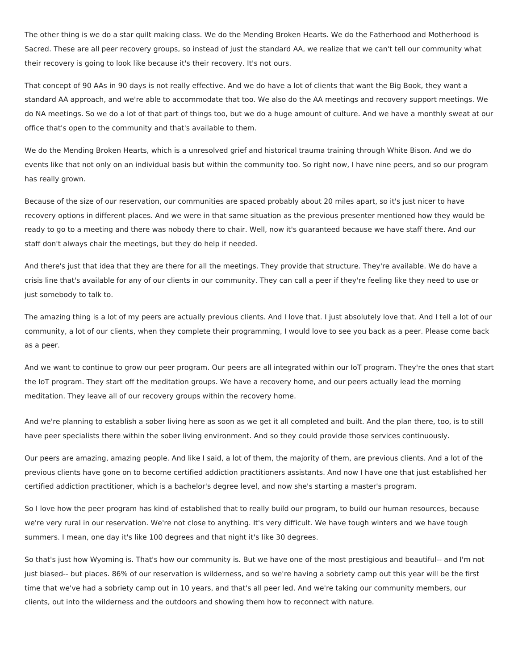The other thing is we do a star quilt making class. We do the Mending Broken Hearts. We do the Fatherhood and Motherhood is Sacred. These are all peer recovery groups, so instead of just the standard AA, we realize that we can't tell our community what their recovery is going to look like because it's their recovery. It's not ours.

 That concept of 90 AAs in 90 days is not really effective. And we do have a lot of clients that want the Big Book, they want a standard AA approach, and we're able to accommodate that too. We also do the AA meetings and recovery support meetings. We do NA meetings. So we do a lot of that part of things too, but we do a huge amount of culture. And we have a monthly sweat at our office that's open to the community and that's available to them.

 We do the Mending Broken Hearts, which is a unresolved grief and historical trauma training through White Bison. And we do events like that not only on an individual basis but within the community too. So right now, I have nine peers, and so our program has really grown.

 Because of the size of our reservation, our communities are spaced probably about 20 miles apart, so it's just nicer to have recovery options in different places. And we were in that same situation as the previous presenter mentioned how they would be ready to go to a meeting and there was nobody there to chair. Well, now it's guaranteed because we have staff there. And our staff don't always chair the meetings, but they do help if needed.

 And there's just that idea that they are there for all the meetings. They provide that structure. They're available. We do have a crisis line that's available for any of our clients in our community. They can call a peer if they're feeling like they need to use or just somebody to talk to.

 The amazing thing is a lot of my peers are actually previous clients. And I love that. I just absolutely love that. And I tell a lot of our community, a lot of our clients, when they complete their programming, I would love to see you back as a peer. Please come back as a peer.

 And we want to continue to grow our peer program. Our peers are all integrated within our IoT program. They're the ones that start the IoT program. They start off the meditation groups. We have a recovery home, and our peers actually lead the morning meditation. They leave all of our recovery groups within the recovery home.

 And we're planning to establish a sober living here as soon as we get it all completed and built. And the plan there, too, is to still have peer specialists there within the sober living environment. And so they could provide those services continuously.

 Our peers are amazing, amazing people. And like I said, a lot of them, the majority of them, are previous clients. And a lot of the previous clients have gone on to become certified addiction practitioners assistants. And now I have one that just established her certified addiction practitioner, which is a bachelor's degree level, and now she's starting a master's program.

 So I love how the peer program has kind of established that to really build our program, to build our human resources, because we're very rural in our reservation. We're not close to anything. It's very difficult. We have tough winters and we have tough summers. I mean, one day it's like 100 degrees and that night it's like 30 degrees.

 So that's just how Wyoming is. That's how our community is. But we have one of the most prestigious and beautiful-- and I'm not just biased-- but places. 86% of our reservation is wilderness, and so we're having a sobriety camp out this year will be the first time that we've had a sobriety camp out in 10 years, and that's all peer led. And we're taking our community members, our clients, out into the wilderness and the outdoors and showing them how to reconnect with nature.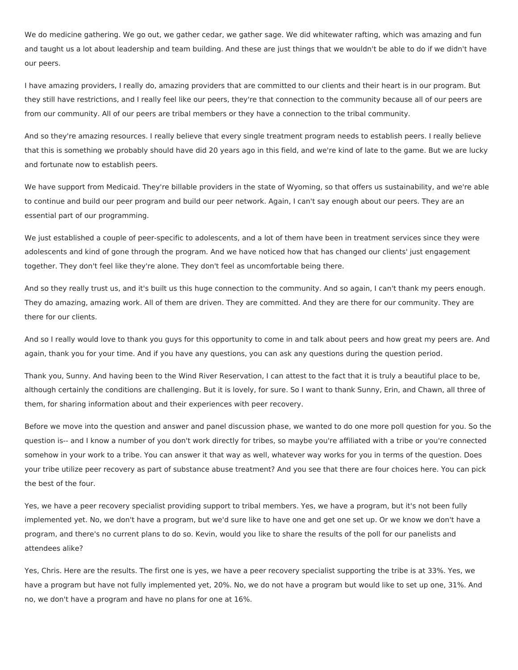We do medicine gathering. We go out, we gather cedar, we gather sage. We did whitewater rafting, which was amazing and fun and taught us a lot about leadership and team building. And these are just things that we wouldn't be able to do if we didn't have our peers.

 I have amazing providers, I really do, amazing providers that are committed to our clients and their heart is in our program. But they still have restrictions, and I really feel like our peers, they're that connection to the community because all of our peers are from our community. All of our peers are tribal members or they have a connection to the tribal community.

 And so they're amazing resources. I really believe that every single treatment program needs to establish peers. I really believe that this is something we probably should have did 20 years ago in this field, and we're kind of late to the game. But we are lucky and fortunate now to establish peers.

 We have support from Medicaid. They're billable providers in the state of Wyoming, so that offers us sustainability, and we're able to continue and build our peer program and build our peer network. Again, I can't say enough about our peers. They are an essential part of our programming.

 We just established a couple of peer-specific to adolescents, and a lot of them have been in treatment services since they were adolescents and kind of gone through the program. And we have noticed how that has changed our clients' just engagement together. They don't feel like they're alone. They don't feel as uncomfortable being there.

 And so they really trust us, and it's built us this huge connection to the community. And so again, I can't thank my peers enough. They do amazing, amazing work. All of them are driven. They are committed. And they are there for our community. They are there for our clients.

 And so I really would love to thank you guys for this opportunity to come in and talk about peers and how great my peers are. And again, thank you for your time. And if you have any questions, you can ask any questions during the question period.

 Thank you, Sunny. And having been to the Wind River Reservation, I can attest to the fact that it is truly a beautiful place to be, although certainly the conditions are challenging. But it is lovely, for sure. So I want to thank Sunny, Erin, and Chawn, all three of them, for sharing information about and their experiences with peer recovery.

 Before we move into the question and answer and panel discussion phase, we wanted to do one more poll question for you. So the question is-- and I know a number of you don't work directly for tribes, so maybe you're affiliated with a tribe or you're connected somehow in your work to a tribe. You can answer it that way as well, whatever way works for you in terms of the question. Does your tribe utilize peer recovery as part of substance abuse treatment? And you see that there are four choices here. You can pick the best of the four.

 Yes, we have a peer recovery specialist providing support to tribal members. Yes, we have a program, but it's not been fully implemented yet. No, we don't have a program, but we'd sure like to have one and get one set up. Or we know we don't have a program, and there's no current plans to do so. Kevin, would you like to share the results of the poll for our panelists and attendees alike?

 Yes, Chris. Here are the results. The first one is yes, we have a peer recovery specialist supporting the tribe is at 33%. Yes, we have a program but have not fully implemented yet, 20%. No, we do not have a program but would like to set up one, 31%. And no, we don't have a program and have no plans for one at 16%.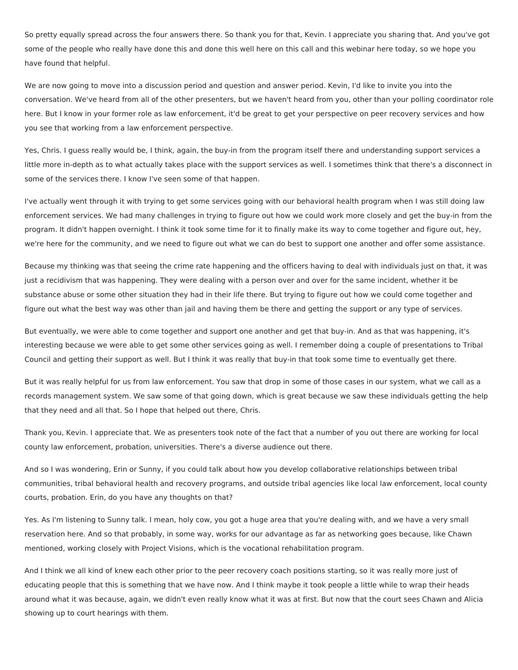So pretty equally spread across the four answers there. So thank you for that, Kevin. I appreciate you sharing that. And you've got some of the people who really have done this and done this well here on this call and this webinar here today, so we hope you have found that helpful.

 We are now going to move into a discussion period and question and answer period. Kevin, I'd like to invite you into the conversation. We've heard from all of the other presenters, but we haven't heard from you, other than your polling coordinator role here. But I know in your former role as law enforcement, it'd be great to get your perspective on peer recovery services and how you see that working from a law enforcement perspective.

 Yes, Chris. I guess really would be, I think, again, the buy-in from the program itself there and understanding support services a little more in-depth as to what actually takes place with the support services as well. I sometimes think that there's a disconnect in some of the services there. I know I've seen some of that happen.

 I've actually went through it with trying to get some services going with our behavioral health program when I was still doing law enforcement services. We had many challenges in trying to figure out how we could work more closely and get the buy-in from the program. It didn't happen overnight. I think it took some time for it to finally make its way to come together and figure out, hey, we're here for the community, and we need to figure out what we can do best to support one another and offer some assistance.

 Because my thinking was that seeing the crime rate happening and the officers having to deal with individuals just on that, it was just a recidivism that was happening. They were dealing with a person over and over for the same incident, whether it be substance abuse or some other situation they had in their life there. But trying to figure out how we could come together and figure out what the best way was other than jail and having them be there and getting the support or any type of services.

 But eventually, we were able to come together and support one another and get that buy-in. And as that was happening, it's interesting because we were able to get some other services going as well. I remember doing a couple of presentations to Tribal Council and getting their support as well. But I think it was really that buy-in that took some time to eventually get there.

 But it was really helpful for us from law enforcement. You saw that drop in some of those cases in our system, what we call as a records management system. We saw some of that going down, which is great because we saw these individuals getting the help that they need and all that. So I hope that helped out there, Chris.

 Thank you, Kevin. I appreciate that. We as presenters took note of the fact that a number of you out there are working for local county law enforcement, probation, universities. There's a diverse audience out there.

 And so I was wondering, Erin or Sunny, if you could talk about how you develop collaborative relationships between tribal communities, tribal behavioral health and recovery programs, and outside tribal agencies like local law enforcement, local county courts, probation. Erin, do you have any thoughts on that?

 Yes. As I'm listening to Sunny talk. I mean, holy cow, you got a huge area that you're dealing with, and we have a very small reservation here. And so that probably, in some way, works for our advantage as far as networking goes because, like Chawn mentioned, working closely with Project Visions, which is the vocational rehabilitation program.

 And I think we all kind of knew each other prior to the peer recovery coach positions starting, so it was really more just of educating people that this is something that we have now. And I think maybe it took people a little while to wrap their heads around what it was because, again, we didn't even really know what it was at first. But now that the court sees Chawn and Alicia showing up to court hearings with them.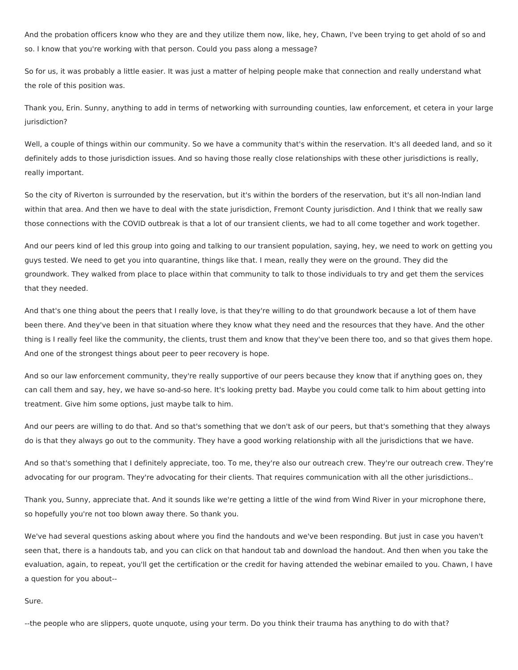And the probation officers know who they are and they utilize them now, like, hey, Chawn, I've been trying to get ahold of so and so. I know that you're working with that person. Could you pass along a message?

 So for us, it was probably a little easier. It was just a matter of helping people make that connection and really understand what the role of this position was.

 Thank you, Erin. Sunny, anything to add in terms of networking with surrounding counties, law enforcement, et cetera in your large jurisdiction?

 Well, a couple of things within our community. So we have a community that's within the reservation. It's all deeded land, and so it definitely adds to those jurisdiction issues. And so having those really close relationships with these other jurisdictions is really, really important.

 So the city of Riverton is surrounded by the reservation, but it's within the borders of the reservation, but it's all non-Indian land within that area. And then we have to deal with the state jurisdiction, Fremont County jurisdiction. And I think that we really saw those connections with the COVID outbreak is that a lot of our transient clients, we had to all come together and work together.

 And our peers kind of led this group into going and talking to our transient population, saying, hey, we need to work on getting you guys tested. We need to get you into quarantine, things like that. I mean, really they were on the ground. They did the groundwork. They walked from place to place within that community to talk to those individuals to try and get them the services that they needed.

 And that's one thing about the peers that I really love, is that they're willing to do that groundwork because a lot of them have been there. And they've been in that situation where they know what they need and the resources that they have. And the other thing is I really feel like the community, the clients, trust them and know that they've been there too, and so that gives them hope. And one of the strongest things about peer to peer recovery is hope.

 And so our law enforcement community, they're really supportive of our peers because they know that if anything goes on, they can call them and say, hey, we have so-and-so here. It's looking pretty bad. Maybe you could come talk to him about getting into treatment. Give him some options, just maybe talk to him.

 And our peers are willing to do that. And so that's something that we don't ask of our peers, but that's something that they always do is that they always go out to the community. They have a good working relationship with all the jurisdictions that we have.

 And so that's something that I definitely appreciate, too. To me, they're also our outreach crew. They're our outreach crew. They're advocating for our program. They're advocating for their clients. That requires communication with all the other jurisdictions..

 Thank you, Sunny, appreciate that. And it sounds like we're getting a little of the wind from Wind River in your microphone there, so hopefully you're not too blown away there. So thank you.

 We've had several questions asking about where you find the handouts and we've been responding. But just in case you haven't seen that, there is a handouts tab, and you can click on that handout tab and download the handout. And then when you take the evaluation, again, to repeat, you'll get the certification or the credit for having attended the webinar emailed to you. Chawn, I have a question for you about--

Sure.

--the people who are slippers, quote unquote, using your term. Do you think their trauma has anything to do with that?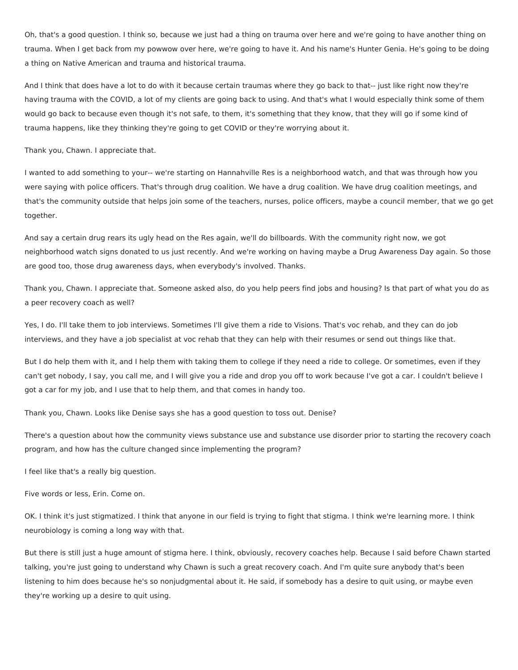Oh, that's a good question. I think so, because we just had a thing on trauma over here and we're going to have another thing on trauma. When I get back from my powwow over here, we're going to have it. And his name's Hunter Genia. He's going to be doing a thing on Native American and trauma and historical trauma.

 And I think that does have a lot to do with it because certain traumas where they go back to that-- just like right now they're having trauma with the COVID, a lot of my clients are going back to using. And that's what I would especially think some of them would go back to because even though it's not safe, to them, it's something that they know, that they will go if some kind of trauma happens, like they thinking they're going to get COVID or they're worrying about it.

Thank you, Chawn. I appreciate that.

 I wanted to add something to your-- we're starting on Hannahville Res is a neighborhood watch, and that was through how you were saying with police officers. That's through drug coalition. We have a drug coalition. We have drug coalition meetings, and that's the community outside that helps join some of the teachers, nurses, police officers, maybe a council member, that we go get together.

 And say a certain drug rears its ugly head on the Res again, we'll do billboards. With the community right now, we got neighborhood watch signs donated to us just recently. And we're working on having maybe a Drug Awareness Day again. So those are good too, those drug awareness days, when everybody's involved. Thanks.

 Thank you, Chawn. I appreciate that. Someone asked also, do you help peers find jobs and housing? Is that part of what you do as a peer recovery coach as well?

 Yes, I do. I'll take them to job interviews. Sometimes I'll give them a ride to Visions. That's voc rehab, and they can do job interviews, and they have a job specialist at voc rehab that they can help with their resumes or send out things like that.

 But I do help them with it, and I help them with taking them to college if they need a ride to college. Or sometimes, even if they can't get nobody, I say, you call me, and I will give you a ride and drop you off to work because I've got a car. I couldn't believe I got a car for my job, and I use that to help them, and that comes in handy too.

Thank you, Chawn. Looks like Denise says she has a good question to toss out. Denise?

 There's a question about how the community views substance use and substance use disorder prior to starting the recovery coach program, and how has the culture changed since implementing the program?

I feel like that's a really big question.

Five words or less, Erin. Come on.

 OK. I think it's just stigmatized. I think that anyone in our field is trying to fight that stigma. I think we're learning more. I think neurobiology is coming a long way with that.

 But there is still just a huge amount of stigma here. I think, obviously, recovery coaches help. Because I said before Chawn started talking, you're just going to understand why Chawn is such a great recovery coach. And I'm quite sure anybody that's been listening to him does because he's so nonjudgmental about it. He said, if somebody has a desire to quit using, or maybe even they're working up a desire to quit using.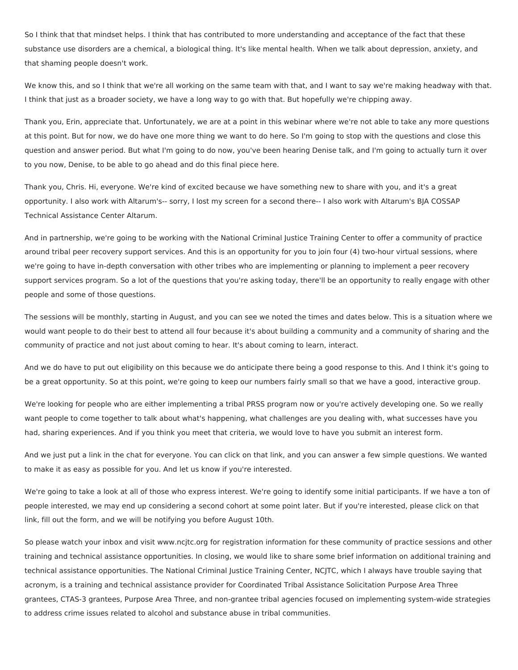So I think that that mindset helps. I think that has contributed to more understanding and acceptance of the fact that these substance use disorders are a chemical, a biological thing. It's like mental health. When we talk about depression, anxiety, and that shaming people doesn't work.

 We know this, and so I think that we're all working on the same team with that, and I want to say we're making headway with that. I think that just as a broader society, we have a long way to go with that. But hopefully we're chipping away.

 Thank you, Erin, appreciate that. Unfortunately, we are at a point in this webinar where we're not able to take any more questions at this point. But for now, we do have one more thing we want to do here. So I'm going to stop with the questions and close this question and answer period. But what I'm going to do now, you've been hearing Denise talk, and I'm going to actually turn it over to you now, Denise, to be able to go ahead and do this final piece here.

 Thank you, Chris. Hi, everyone. We're kind of excited because we have something new to share with you, and it's a great opportunity. I also work with Altarum's-- sorry, I lost my screen for a second there-- I also work with Altarum's BJA COSSAP Technical Assistance Center Altarum.

 And in partnership, we're going to be working with the National Criminal Justice Training Center to offer a community of practice around tribal peer recovery support services. And this is an opportunity for you to join four (4) two-hour virtual sessions, where we're going to have in-depth conversation with other tribes who are implementing or planning to implement a peer recovery support services program. So a lot of the questions that you're asking today, there'll be an opportunity to really engage with other people and some of those questions.

 The sessions will be monthly, starting in August, and you can see we noted the times and dates below. This is a situation where we would want people to do their best to attend all four because it's about building a community and a community of sharing and the community of practice and not just about coming to hear. It's about coming to learn, interact.

 And we do have to put out eligibility on this because we do anticipate there being a good response to this. And I think it's going to be a great opportunity. So at this point, we're going to keep our numbers fairly small so that we have a good, interactive group.

 We're looking for people who are either implementing a tribal PRSS program now or you're actively developing one. So we really want people to come together to talk about what's happening, what challenges are you dealing with, what successes have you had, sharing experiences. And if you think you meet that criteria, we would love to have you submit an interest form.

 And we just put a link in the chat for everyone. You can click on that link, and you can answer a few simple questions. We wanted to make it as easy as possible for you. And let us know if you're interested.

 We're going to take a look at all of those who express interest. We're going to identify some initial participants. If we have a ton of people interested, we may end up considering a second cohort at some point later. But if you're interested, please click on that link, fill out the form, and we will be notifying you before August 10th.

 So please watch your inbox and visit <www.ncjtc.org> for registration information for these community of practice sessions and other training and technical assistance opportunities. In closing, we would like to share some brief information on additional training and technical assistance opportunities. The National Criminal Justice Training Center, NCJTC, which I always have trouble saying that acronym, is a training and technical assistance provider for Coordinated Tribal Assistance Solicitation Purpose Area Three grantees, CTAS-3 grantees, Purpose Area Three, and non-grantee tribal agencies focused on implementing system-wide strategies to address crime issues related to alcohol and substance abuse in tribal communities.